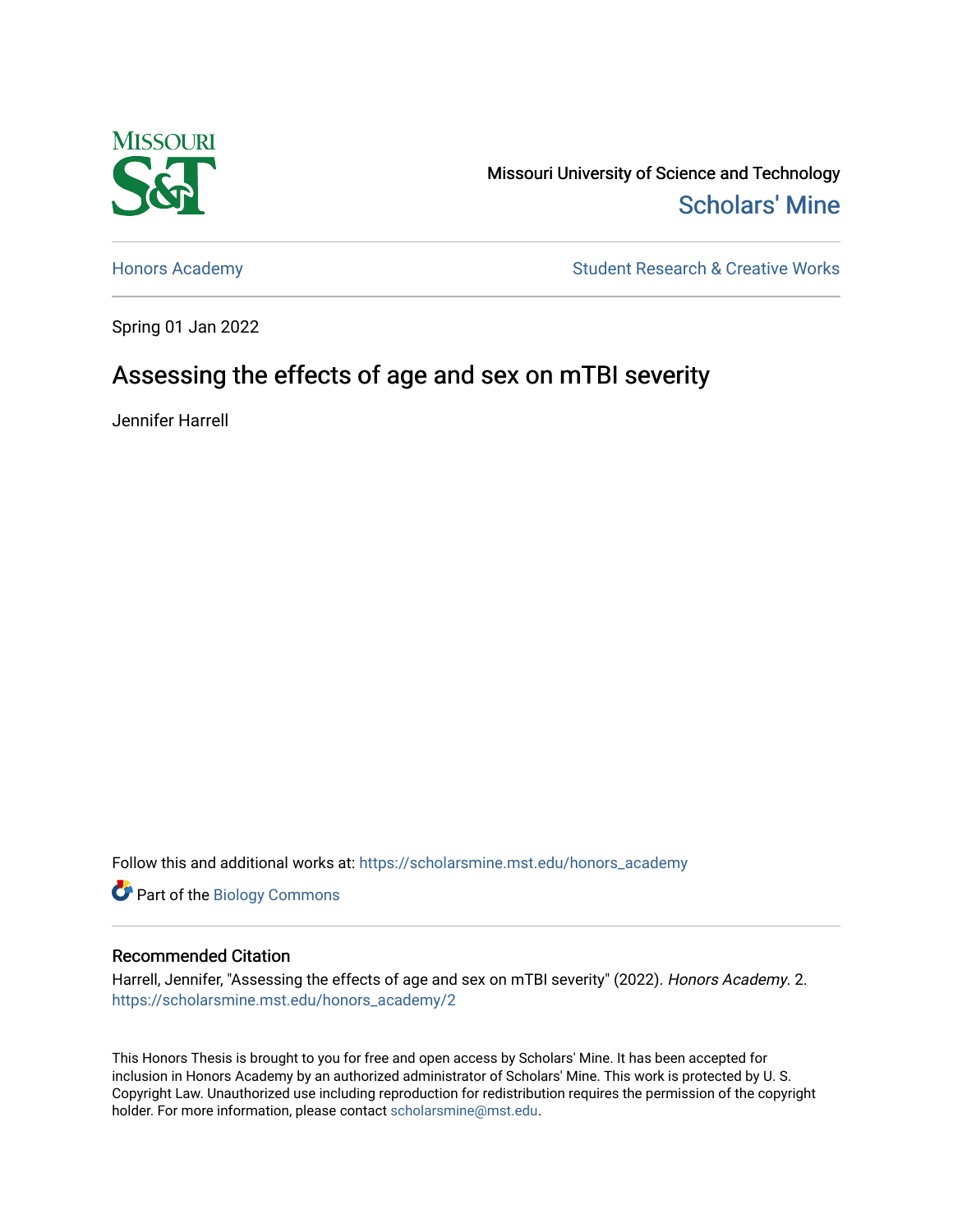

Missouri University of Science and Technology [Scholars' Mine](https://scholarsmine.mst.edu/) 

[Honors Academy](https://scholarsmine.mst.edu/honors_academy) **Student Research & Creative Works** 

Spring 01 Jan 2022

# Assessing the effects of age and sex on mTBI severity

Jennifer Harrell

Follow this and additional works at: [https://scholarsmine.mst.edu/honors\\_academy](https://scholarsmine.mst.edu/honors_academy?utm_source=scholarsmine.mst.edu%2Fhonors_academy%2F2&utm_medium=PDF&utm_campaign=PDFCoverPages)

Part of the [Biology Commons](http://network.bepress.com/hgg/discipline/41?utm_source=scholarsmine.mst.edu%2Fhonors_academy%2F2&utm_medium=PDF&utm_campaign=PDFCoverPages) 

#### Recommended Citation

Harrell, Jennifer, "Assessing the effects of age and sex on mTBI severity" (2022). Honors Academy. 2. [https://scholarsmine.mst.edu/honors\\_academy/2](https://scholarsmine.mst.edu/honors_academy/2?utm_source=scholarsmine.mst.edu%2Fhonors_academy%2F2&utm_medium=PDF&utm_campaign=PDFCoverPages) 

This Honors Thesis is brought to you for free and open access by Scholars' Mine. It has been accepted for inclusion in Honors Academy by an authorized administrator of Scholars' Mine. This work is protected by U. S. Copyright Law. Unauthorized use including reproduction for redistribution requires the permission of the copyright holder. For more information, please contact [scholarsmine@mst.edu.](mailto:scholarsmine@mst.edu)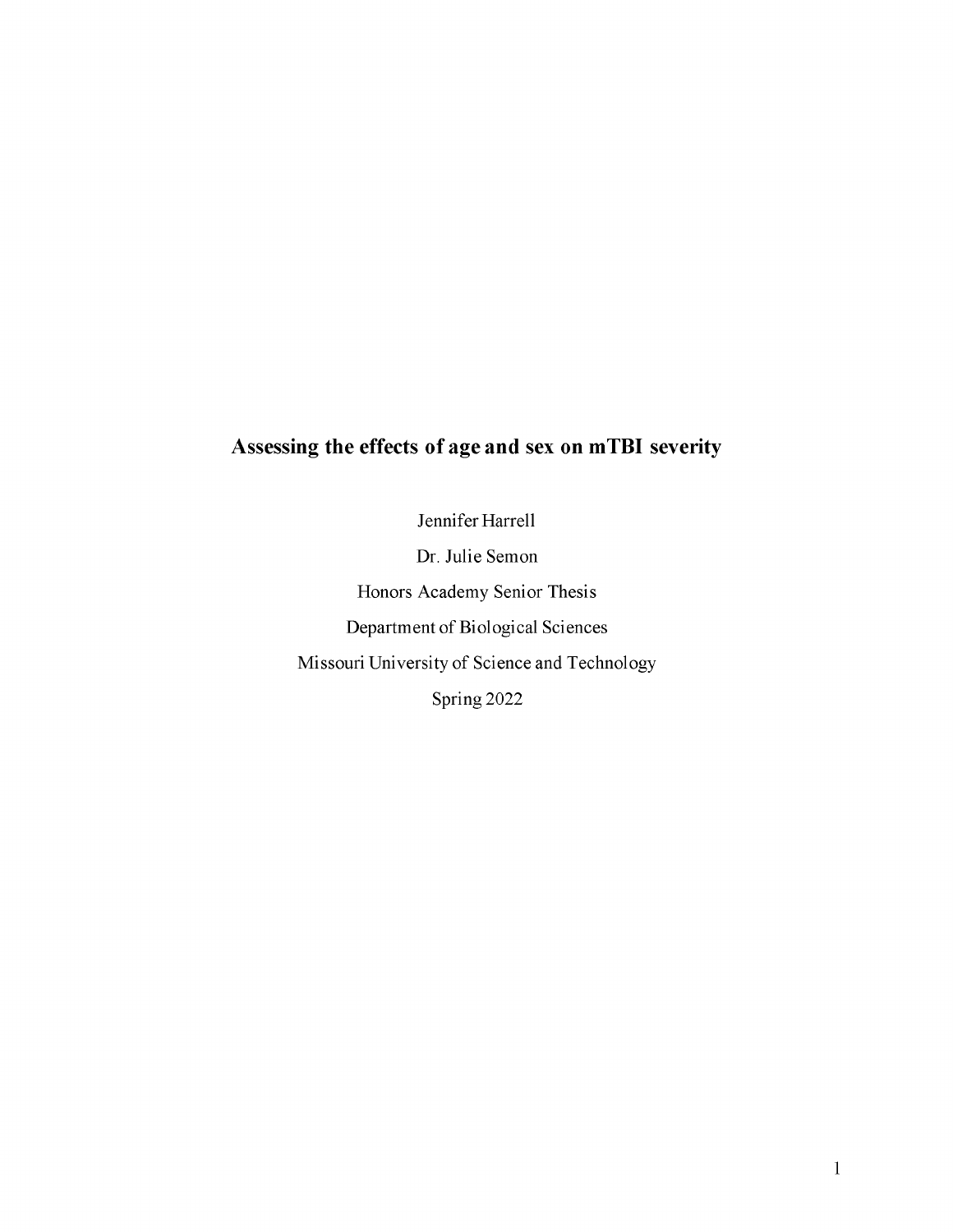# **Assessing the effects of age and sex on mTBI severity**

Jennifer Harrell

Dr. Julie Semon Honors Academy Senior Thesis Department of Biological Sciences Missouri University of Science and Technology Spring 2022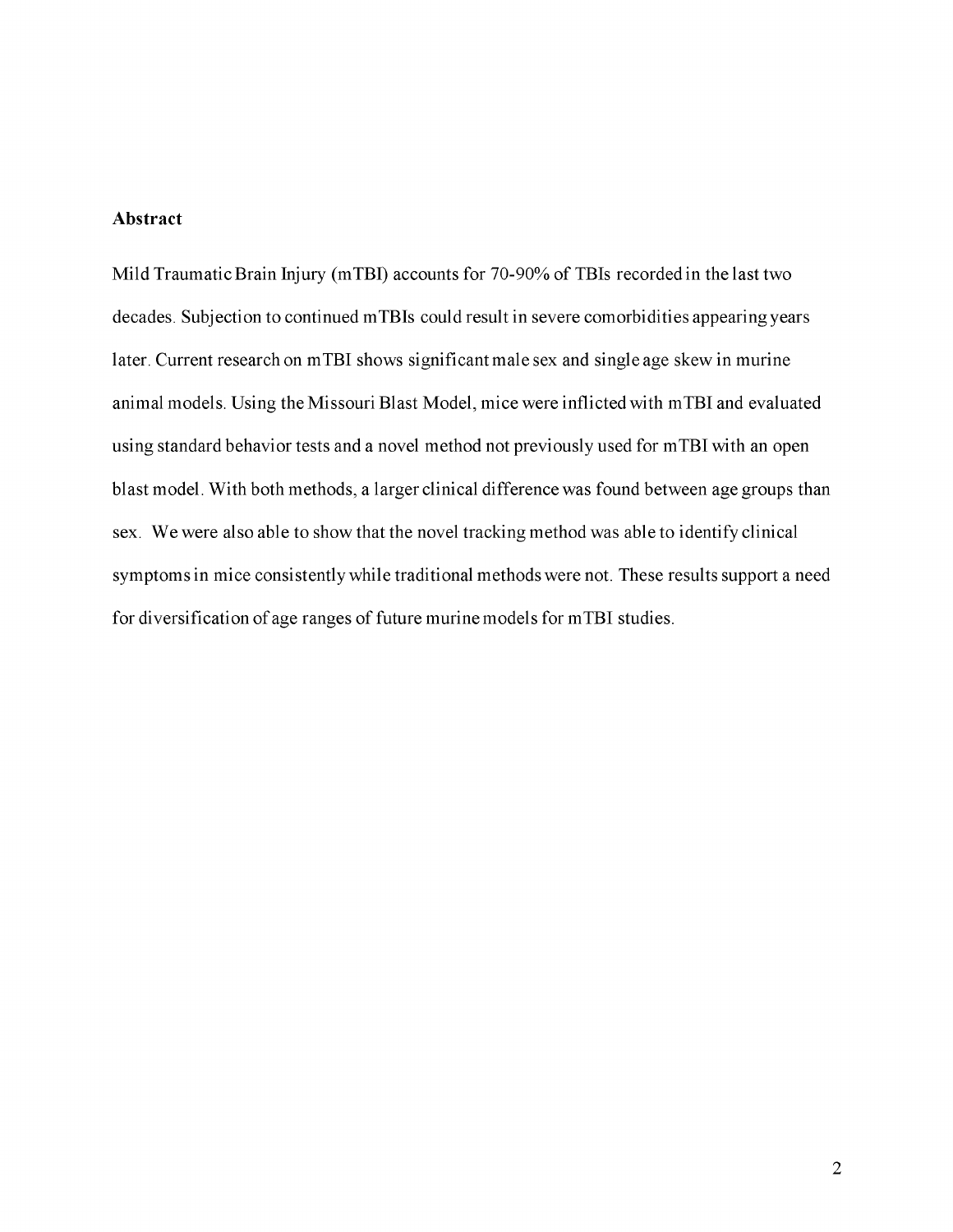#### **Abstract**

Mild Traumatic Brain Injury (mTBI) accounts for 70-90% of TBIs recorded in the last two decades. Subjection to continued mTBIs could result in severe comorbidities appearing years later. Current research on mTBI shows significant male sex and single age skew in murine animal models. Using the Missouri Blast Model, mice were inflicted with mTBI and evaluated using standard behavior tests and a novel method not previously used for mTBI with an open blast model. With both methods, a larger clinical difference was found between age groups than sex. We were also able to show that the novel tracking method was able to identify clinical symptoms in mice consistently while traditional methods were not. These results support a need for diversification of age ranges of future murine models for mTBI studies.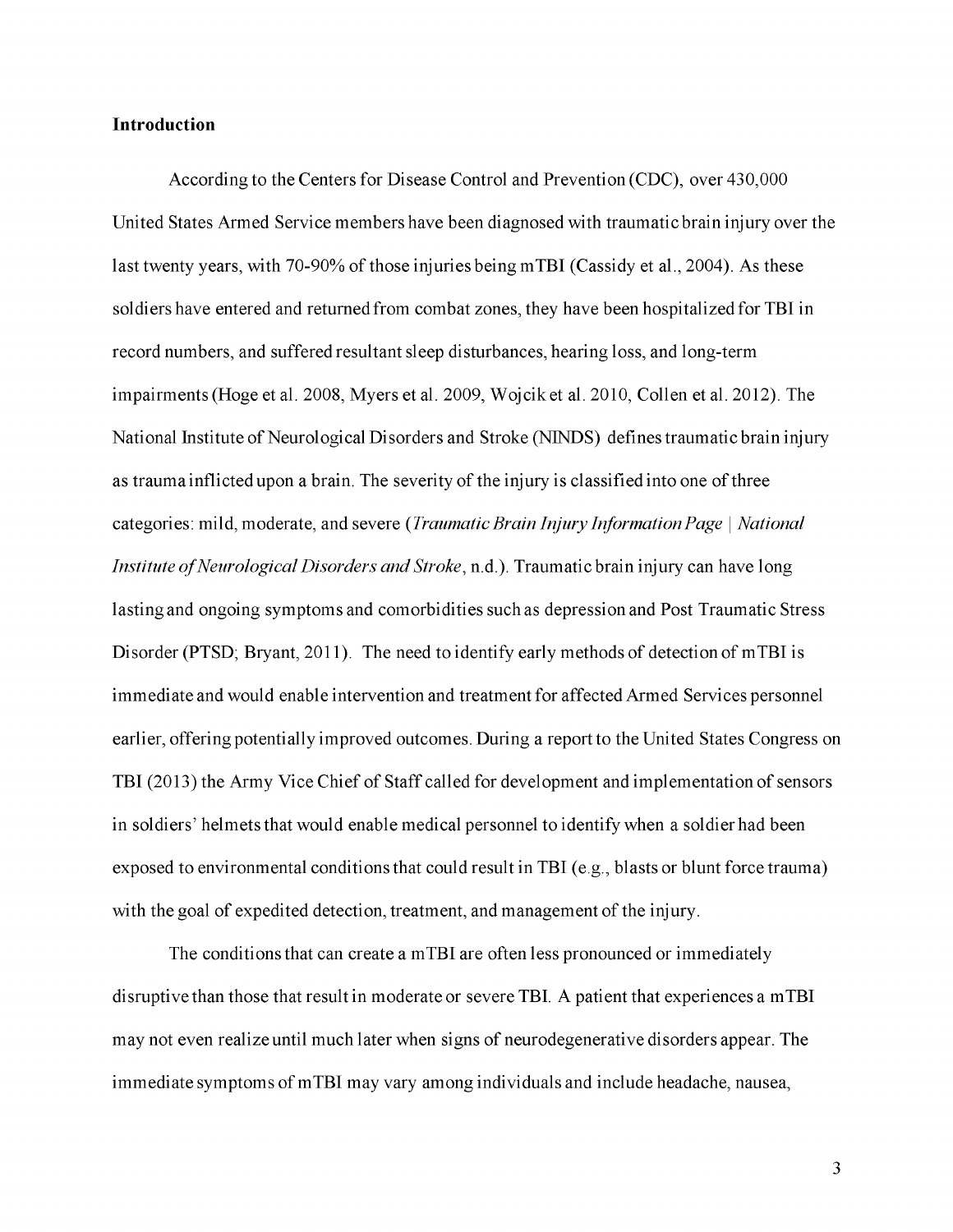#### **Introduction**

According to the Centers for Disease Control and Prevention (CDC), over 430,000 United States Armed Service members have been diagnosed with traumatic brain injury over the last twenty years, with 70-90% of those injuries being mTBI (Cassidy et al., 2004). As these soldiers have entered and returned from combat zones, they have been hospitalized for TBI in record numbers, and suffered resultant sleep disturbances, hearing loss, and long-term impairments (Hoge et al. 2008, Myers et al. 2009, Wojcik et al. 2010, Collen et al. 2012). The National Institute of Neurological Disorders and Stroke (NINDS) defines traumatic brain injury as trauma inflicted upon a brain. The severity of the injury is classified into one of three categories: mild, moderate, and severe *(Traumatic Brain Injury Information Page* | *National Institute of Neurological Disorders and Stroke,* n.d.). Traumatic brain injury can have long lasting and ongoing symptoms and comorbidities such as depression and Post Traumatic Stress Disorder (PTSD; Bryant, 2011). The need to identify early methods of detection of mTBI is immediate and would enable intervention and treatment for affected Armed Services personnel earlier, offering potentially improved outcomes. During a report to the United States Congress on TBI (2013) the Army Vice Chief of Staff called for development and implementation of sensors in soldiers' helmets that would enable medical personnel to identify when a soldier had been exposed to environmental conditions that could result in TBI (e.g., blasts or blunt force trauma) with the goal of expedited detection, treatment, and management of the injury.

The conditions that can create a mTBI are often less pronounced or immediately disruptive than those that result in moderate or severe TBI. A patient that experiences a mTBI may not even realize until much later when signs of neurodegenerative disorders appear. The immediate symptoms of mTBI may vary among individuals and include headache, nausea,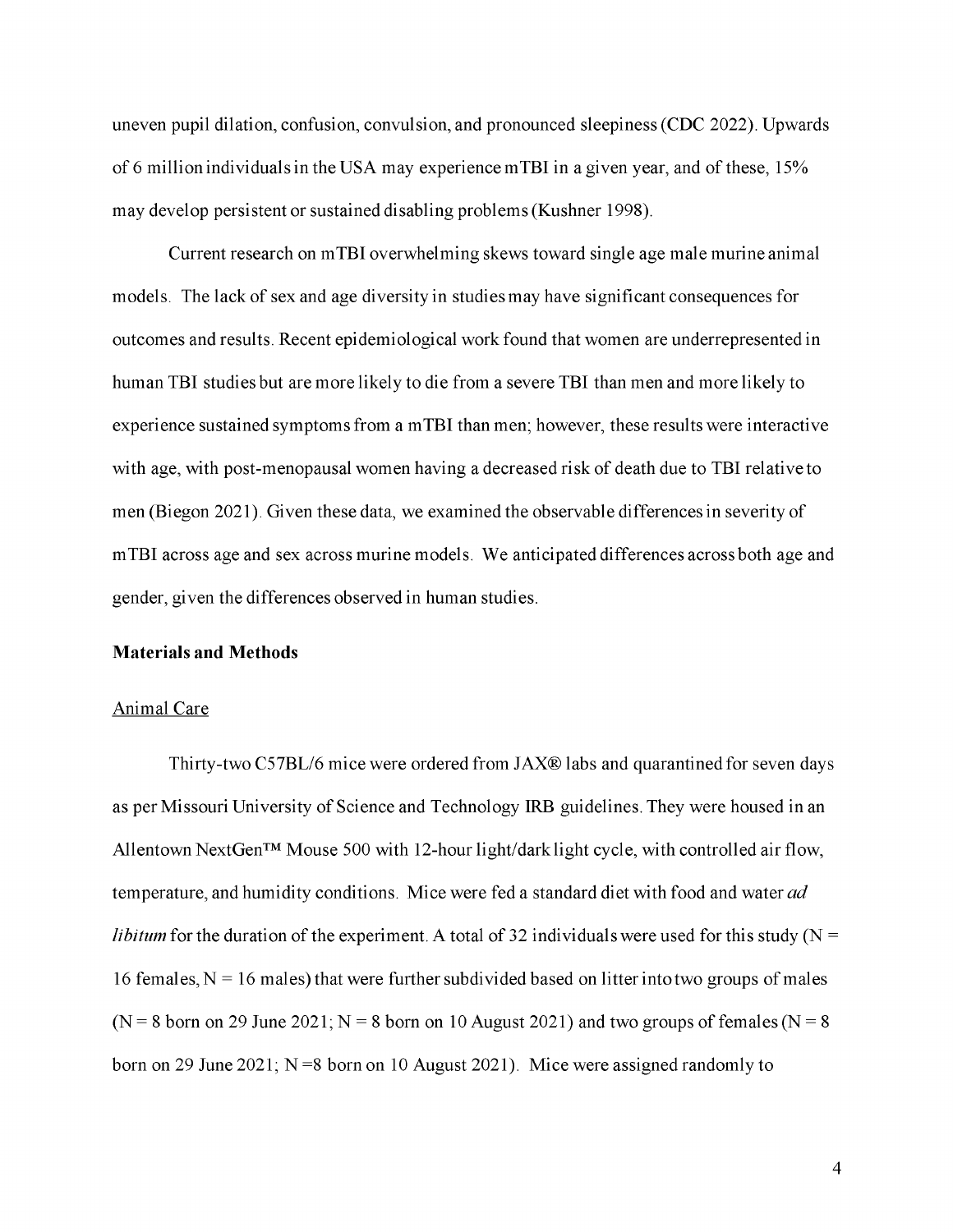uneven pupil dilation, confusion, convulsion, and pronounced sleepiness (CDC 2022). Upwards of 6 million individuals in the USA may experience mTBI in a given year, and of these, 15% may develop persistent or sustained disabling problems (Kushner 1998).

Current research on mTBI overwhelming skews toward single age male murine animal models. The lack of sex and age diversity in studies may have significant consequences for outcomes and results. Recent epidemiological work found that women are underrepresented in human TBI studies but are more likely to die from a severe TBI than men and more likely to experience sustained symptoms from a mTBI than men; however, these results were interactive with age, with post-menopausal women having a decreased risk of death due to TBI relative to men (Biegon 2021). Given these data, we examined the observable differences in severity of mTBI across age and sex across murine models. We anticipated differences across both age and gender, given the differences observed in human studies.

#### **Materials and Methods**

#### Animal Care

Thirty-two C57BL/6 mice were ordered from JAX® labs and quarantined for seven days as per Missouri University of Science and Technology IRB guidelines. They were housed in an Allentown NextGen™ Mouse 500 with 12-hour light/dark light cycle, with controlled air flow, temperature, and humidity conditions. Mice were fed a standard diet with food and water *ad libitum* for the duration of the experiment. A total of 32 individuals were used for this study ( $N =$ 16 females,  $N = 16$  males) that were further subdivided based on litter into two groups of males  $(N = 8$  born on 29 June 2021; N = 8 born on 10 August 2021) and two groups of females (N = 8 born on 29 June 2021;  $N = 8$  born on 10 August 2021). Mice were assigned randomly to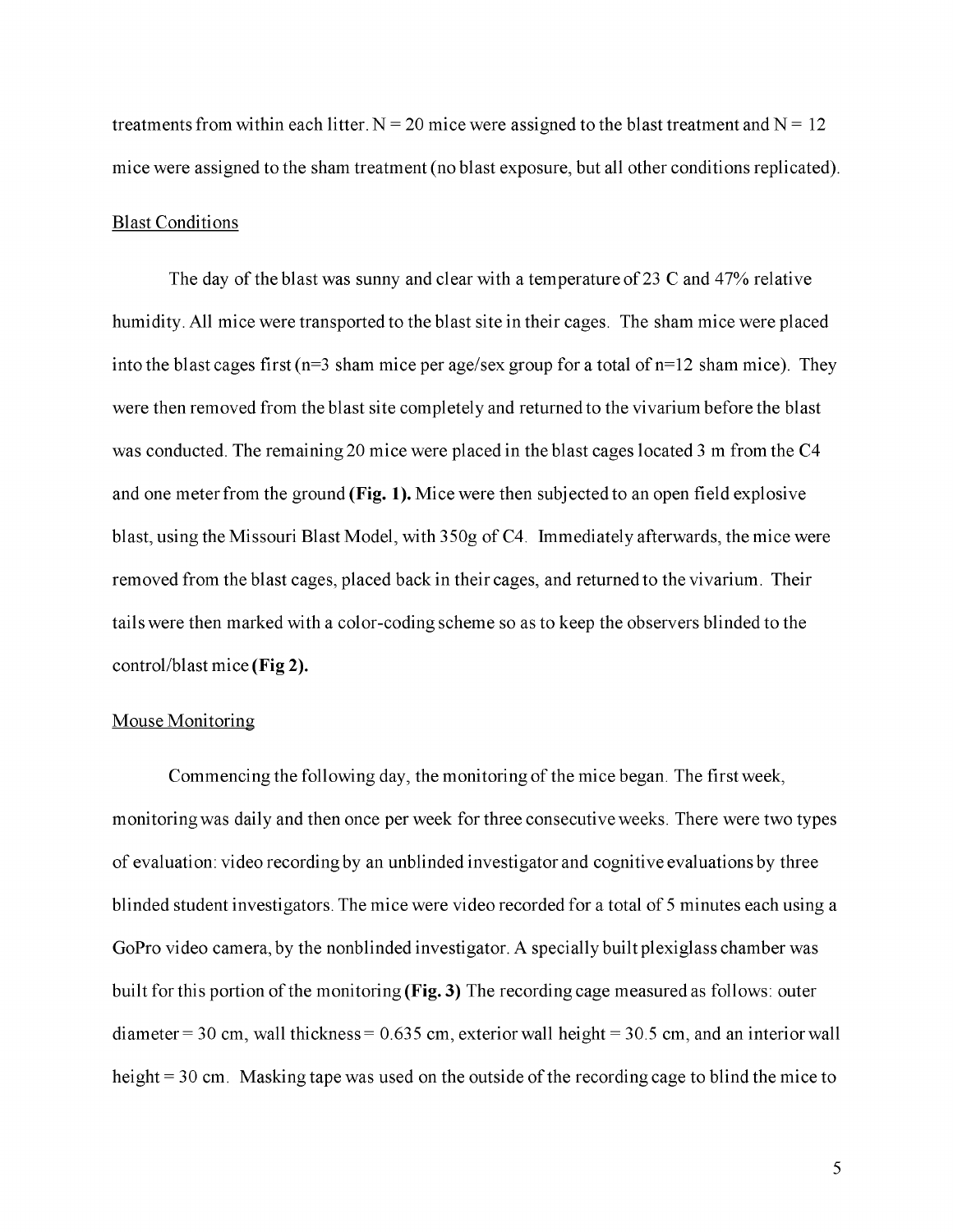treatments from within each litter.  $N = 20$  mice were assigned to the blast treatment and  $N = 12$ mice were assigned to the sham treatment (no blast exposure, but all other conditions replicated).

#### Blast Conditions

The day of the blast was sunny and clear with a temperature of 23 C and 47% relative humidity. All mice were transported to the blast site in their cages. The sham mice were placed into the blast cages first ( $n=3$  sham mice per age/sex group for a total of  $n=12$  sham mice). They were then removed from the blast site completely and returned to the vivarium before the blast was conducted. The remaining 20 mice were placed in the blast cages located 3 m from the C4 and one meter from the ground **(Fig. 1).** Mice were then subjected to an open field explosive blast, using the Missouri Blast Model, with 350g of C4. Immediately afterwards, the mice were removed from the blast cages, placed back in their cages, and returned to the vivarium. Their tails were then marked with a color-coding scheme so as to keep the observers blinded to the control/blast mice **(Fig 2).**

#### Mouse Monitoring

Commencing the following day, the monitoring of the mice began. The first week, monitoring was daily and then once per week for three consecutive weeks. There were two types of evaluation: video recording by an unblinded investigator and cognitive evaluations by three blinded student investigators. The mice were video recorded for a total of 5 minutes each using a GoPro video camera, by the nonblinded investigator. A specially built plexiglass chamber was built for this portion of the monitoring **(Fig. 3)** The recording cage measured as follows: outer diameter = 30 cm, wall thickness =  $0.635$  cm, exterior wall height = 30.5 cm, and an interior wall height = 30 cm. Masking tape was used on the outside of the recording cage to blind the mice to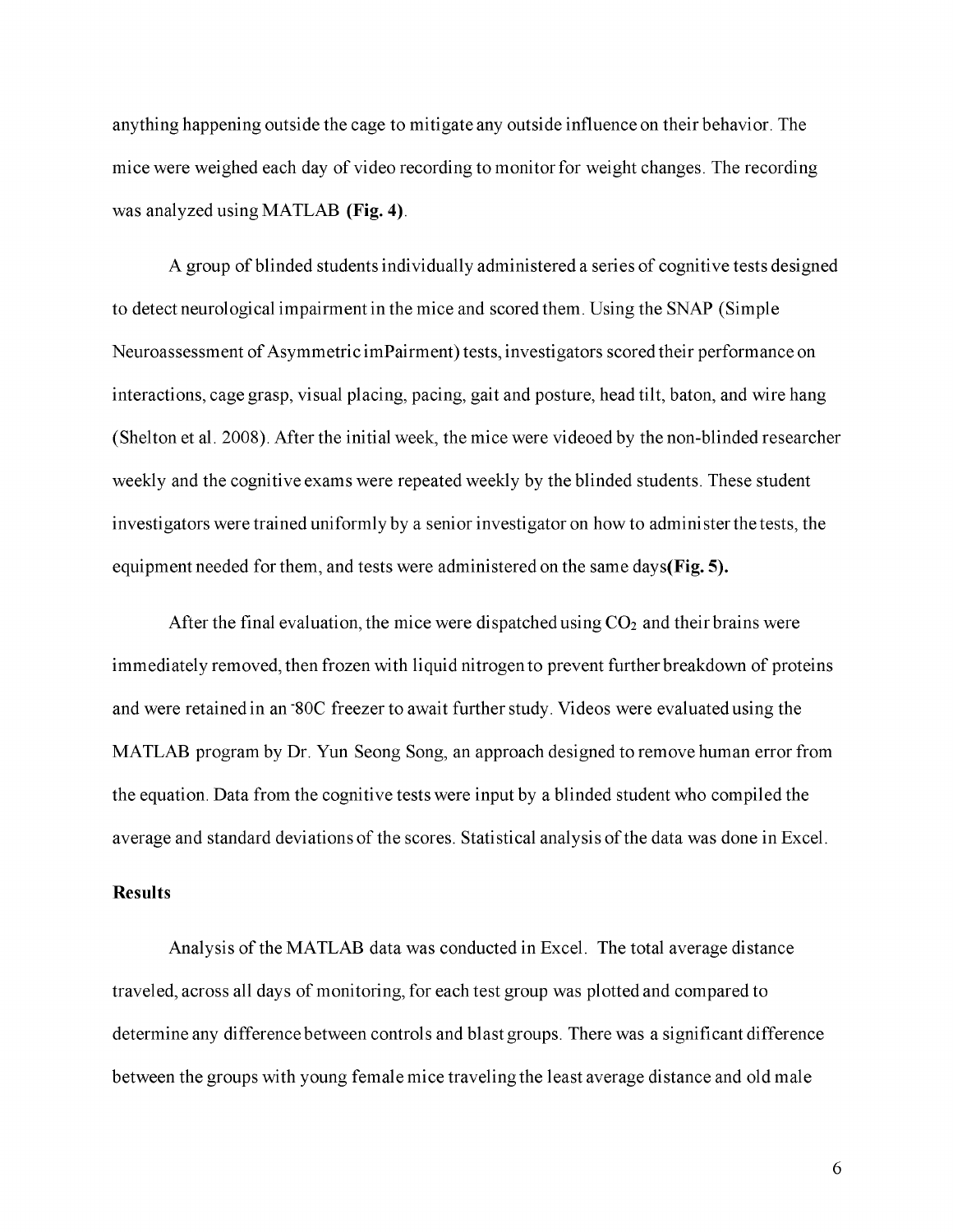anything happening outside the cage to mitigate any outside influence on their behavior. The mice were weighed each day of video recording to monitor for weight changes. The recording was analyzed using MATLAB **(Fig. 4)**.

A group of blinded students individually administered a series of cognitive tests designed to detect neurological impairment in the mice and scored them. Using the SNAP (Simple Neuroassessment of Asymmetric imPairment) tests, investigators scored their performance on interactions, cage grasp, visual placing, pacing, gait and posture, head tilt, baton, and wire hang (Shelton et al. 2008). After the initial week, the mice were videoed by the non-blinded researcher weekly and the cognitive exams were repeated weekly by the blinded students. These student investigators were trained uniformly by a senior investigator on how to administer the tests, the equipment needed for them, and tests were administered on the same days**(Fig. 5).**

After the final evaluation, the mice were dispatched using  $CO<sub>2</sub>$  and their brains were immediately removed, then frozen with liquid nitrogen to prevent further breakdown of proteins and were retained in an "80C freezer to await further study. Videos were evaluated using the MATLAB program by Dr. Yun Seong Song, an approach designed to remove human error from the equation. Data from the cognitive tests were input by a blinded student who compiled the average and standard deviations of the scores. Statistical analysis of the data was done in Excel.

#### **Results**

Analysis of the MATLAB data was conducted in Excel. The total average distance traveled, across all days of monitoring, for each test group was plotted and compared to determine any difference between controls and blast groups. There was a significant difference between the groups with young female mice traveling the least average distance and old male

6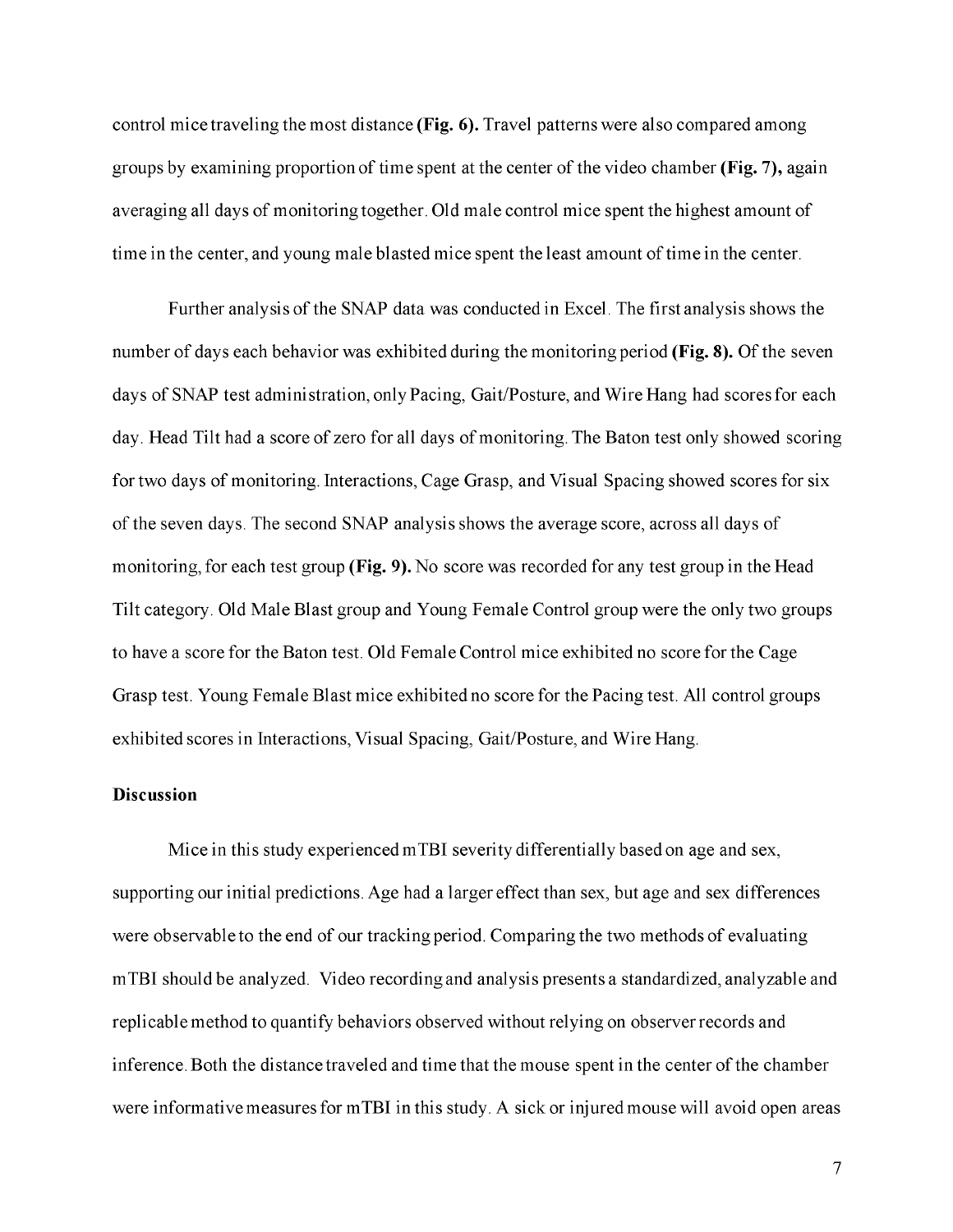control mice traveling the most distance **(Fig. 6).** Travel patterns were also compared among groups by examining proportion of time spent at the center of the video chamber **(Fig. 7),** again averaging all days of monitoring together. Old male control mice spent the highest amount of time in the center, and young male blasted mice spent the least amount of time in the center.

Further analysis of the SNAP data was conducted in Excel. The first analysis shows the number of days each behavior was exhibited during the monitoring period **(Fig. 8).** Of the seven days of SNAP test administration, only Pacing, Gait/Posture, and Wire Hang had scores for each day. Head Tilt had a score of zero for all days of monitoring. The Baton test only showed scoring for two days of monitoring. Interactions, Cage Grasp, and Visual Spacing showed scores for six of the seven days. The second SNAP analysis shows the average score, across all days of monitoring, for each test group **(Fig. 9).** No score was recorded for any test group in the Head Tilt category. Old Male Blast group and Young Female Control group were the only two groups to have a score for the Baton test. Old Female Control mice exhibited no score for the Cage Grasp test. Young Female Blast mice exhibited no score for the Pacing test. All control groups exhibited scores in Interactions, Visual Spacing, Gait/Posture, and Wire Hang.

#### **Discussion**

Mice in this study experienced mTBI severity differentially based on age and sex, supporting our initial predictions. Age had a larger effect than sex, but age and sex differences were observable to the end of our tracking period. Comparing the two methods of evaluating mTBI should be analyzed. Video recording and analysis presents a standardized, analyzable and replicable method to quantify behaviors observed without relying on observer records and inference. Both the distance traveled and time that the mouse spent in the center of the chamber were informative measures for mTBI in this study. A sick or injured mouse will avoid open areas

7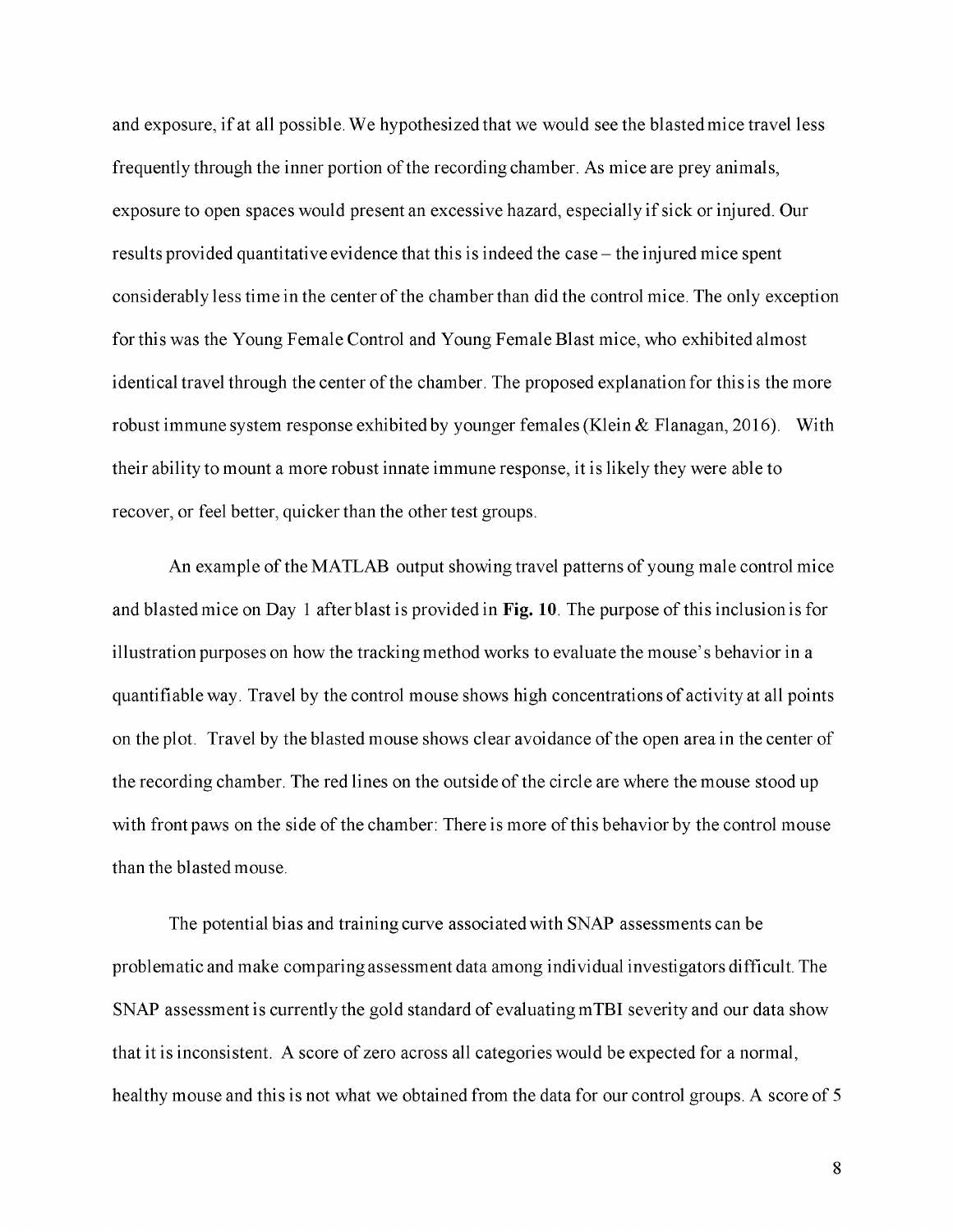and exposure, if at all possible. We hypothesized that we would see the blasted mice travel less frequently through the inner portion of the recording chamber. As mice are prey animals, exposure to open spaces would present an excessive hazard, especially if sick or injured. Our results provided quantitative evidence that this is indeed the case - the injured mice spent considerably less time in the center of the chamber than did the control mice. The only exception for this was the Young Female Control and Young Female Blast mice, who exhibited almost identical travel through the center of the chamber. The proposed explanation for this is the more robust immune system response exhibited by younger females (Klein & Flanagan, 2016). With their ability to mount a more robust innate immune response, it is likely they were able to recover, or feel better, quicker than the other test groups.

An example of the MATLAB output showing travel patterns of young male control mice and blasted mice on Day 1 after blast is provided in **Fig. 10**. The purpose of this inclusion is for illustration purposes on how the tracking method works to evaluate the mouse's behavior in a quantifiable way. Travel by the control mouse shows high concentrations of activity at all points on the plot. Travel by the blasted mouse shows clear avoidance of the open area in the center of the recording chamber. The red lines on the outside of the circle are where the mouse stood up with front paws on the side of the chamber: There is more of this behavior by the control mouse than the blasted mouse.

The potential bias and training curve associated with SNAP assessments can be problematic and make comparing assessment data among individual investigators difficult. The SNAP assessment is currently the gold standard of evaluating mTBI severity and our data show that it is inconsistent. A score of zero across all categories would be expected for a normal, healthy mouse and this is not what we obtained from the data for our control groups. A score of 5

8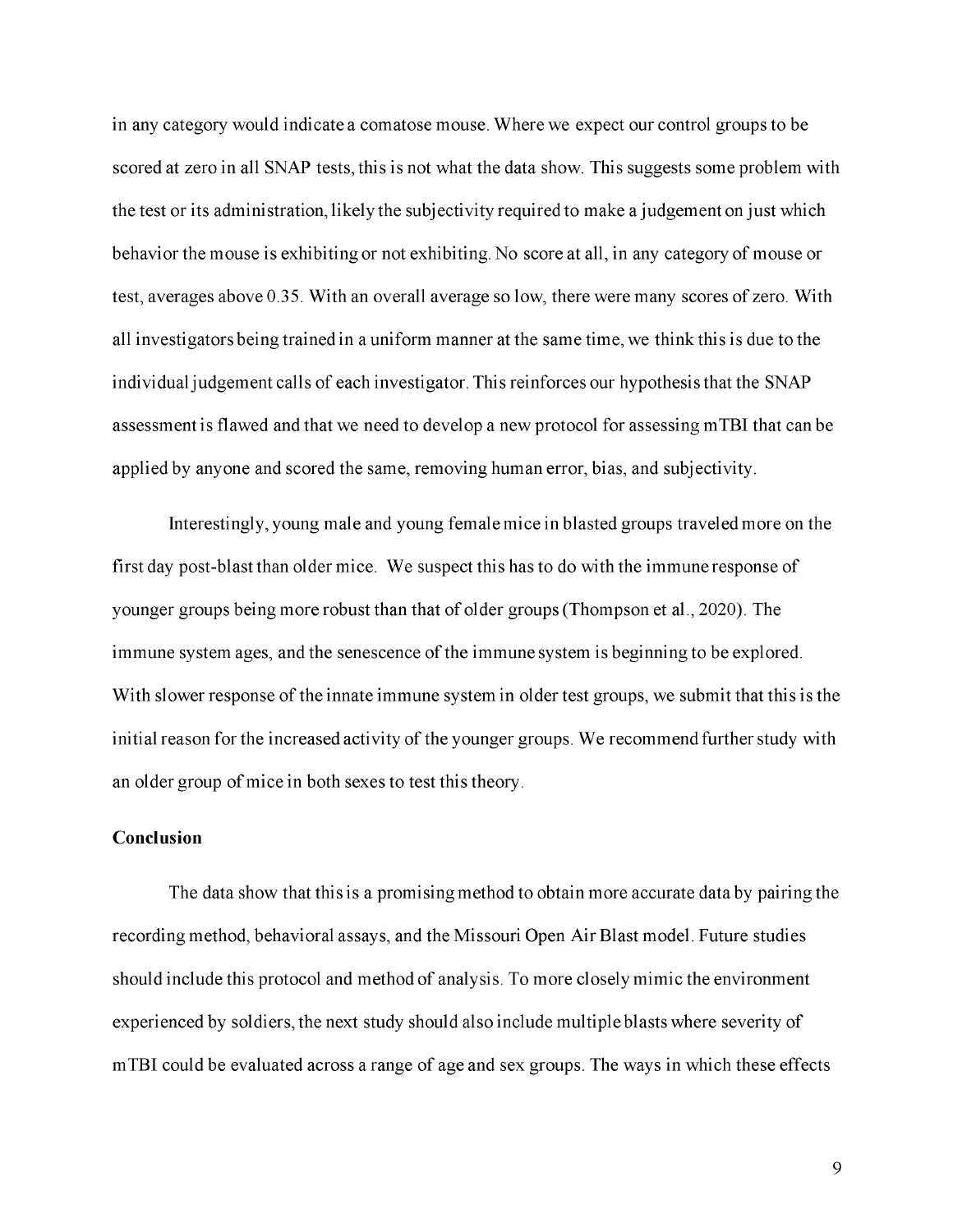in any category would indicate a comatose mouse. Where we expect our control groups to be scored at zero in all SNAP tests, this is not what the data show. This suggests some problem with the test or its administration, likely the subjectivity required to make a judgement on just which behavior the mouse is exhibiting or not exhibiting. No score at all, in any category of mouse or test, averages above 0.35. With an overall average so low, there were many scores of zero. With all investigators being trained in a uniform manner at the same time, we think this is due to the individual judgement calls of each investigator. This reinforces our hypothesis that the SNAP assessment is flawed and that we need to develop a new protocol for assessing mTBI that can be applied by anyone and scored the same, removing human error, bias, and subjectivity.

Interestingly, young male and young female mice in blasted groups traveled more on the first day post-blast than older mice. We suspect this has to do with the immune response of younger groups being more robust than that of older groups (Thompson et al., 2020). The immune system ages, and the senescence of the immune system is beginning to be explored. With slower response of the innate immune system in older test groups, we submit that this is the initial reason for the increased activity of the younger groups. We recommend further study with an older group of mice in both sexes to test this theory.

#### **Conclusion**

The data show that this is a promising method to obtain more accurate data by pairing the recording method, behavioral assays, and the Missouri Open Air Blast model. Future studies should include this protocol and method of analysis. To more closely mimic the environment experienced by soldiers, the next study should also include multiple blasts where severity of mTBI could be evaluated across a range of age and sex groups. The ways in which these effects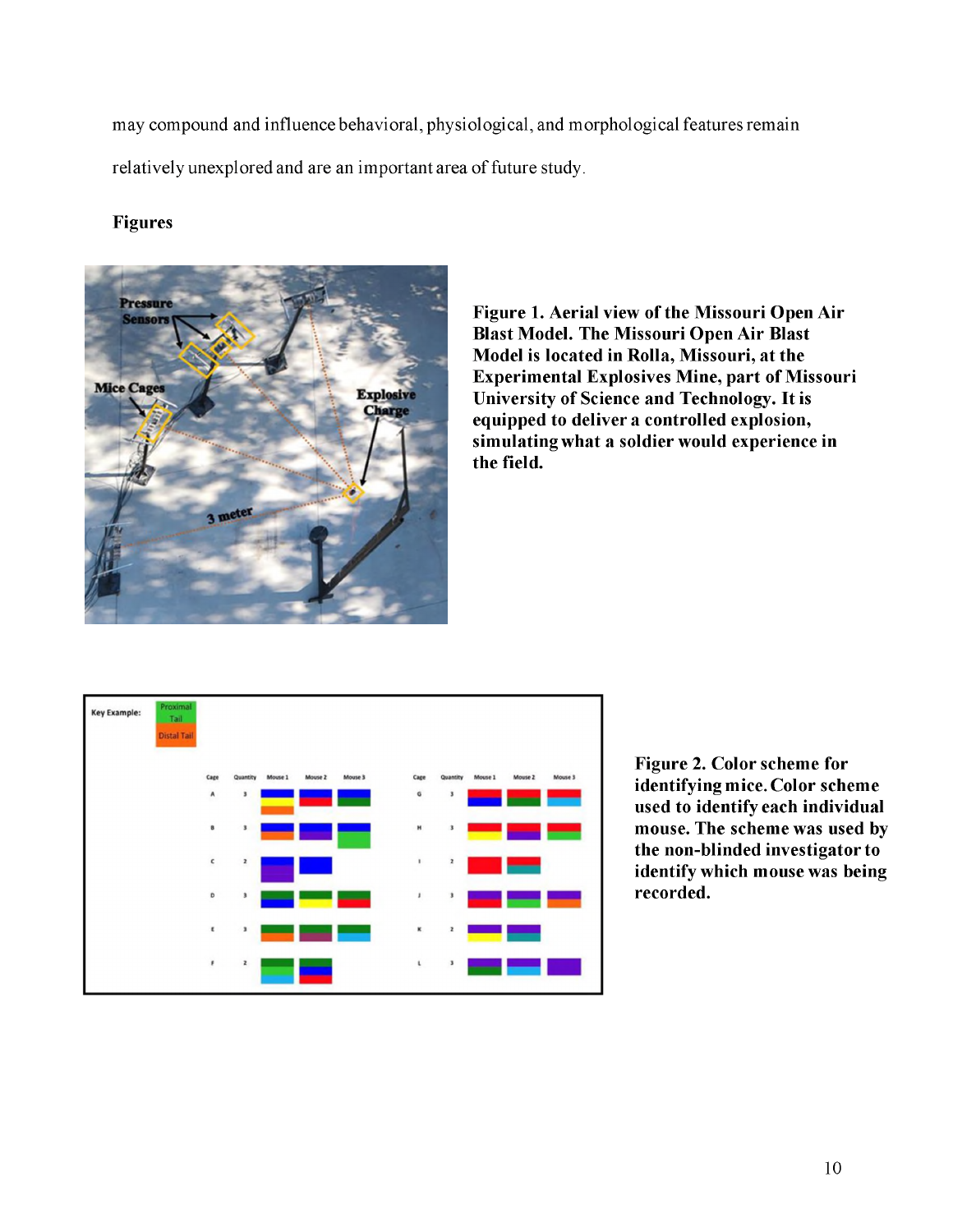may compound and influence behavioral, physiological, and morphological features remain relatively unexplored and are an important area of future study.

### **Figures**



**Figure 1. Aerial view of the Missouri Open Air Blast Model. The Missouri Open Air Blast Model is located in Rolla, Missouri, at the Experimental Explosives Mine, part of Missouri University of Science and Technology. It is equipped to deliver a controlled explosion, simulating what a soldier would experience in the field.**



**Figure 2. Color scheme for identifying mice. Color scheme used to identify each individual mouse. The scheme was used by the non-blinded investigator to identify which mouse was being recorded.**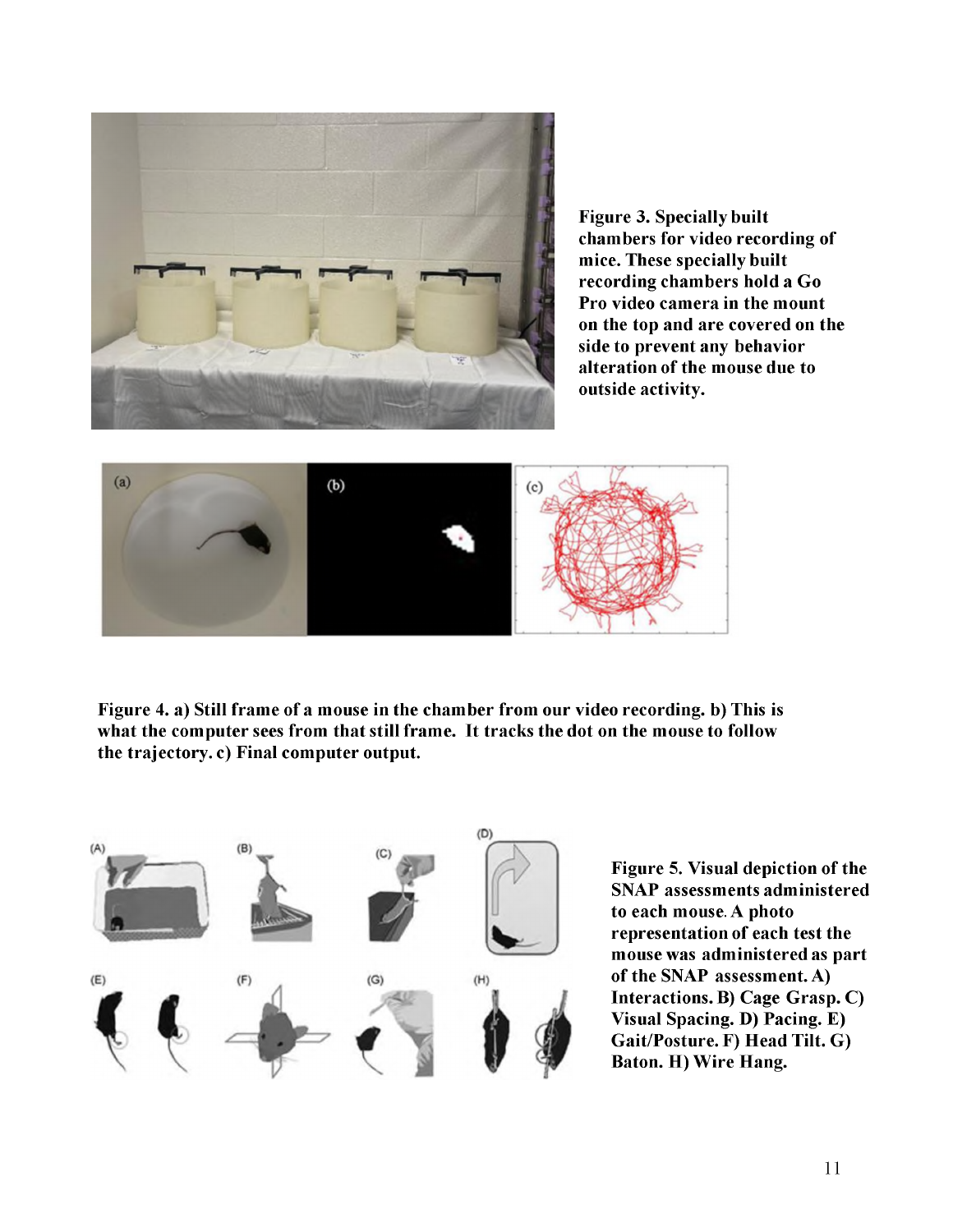

**Figure 3. Specially built chambers for video recording of mice. These specially built recording chambers hold a Go Pro video camera in the mount on the top and are covered on the side to prevent any behavior alteration of the mouse due to outside activity.**



**Figure 4. a) Still frame of a mouse in the chamber from our video recording. b) This is what the computer sees from that still frame. It tracks the dot on the mouse to follow the trajectory. c) Final computer output.**



**Figure 5. Visual depiction of the SNAP assessments administered to each mouse. A photo representation of each test the mouse was administered as part of the SNAP assessment. A) Interactions. B) Cage Grasp. C) Visual Spacing. D) Pacing. E) Gait/Posture. F) Head Tilt. G) Baton. H) Wire Hang.**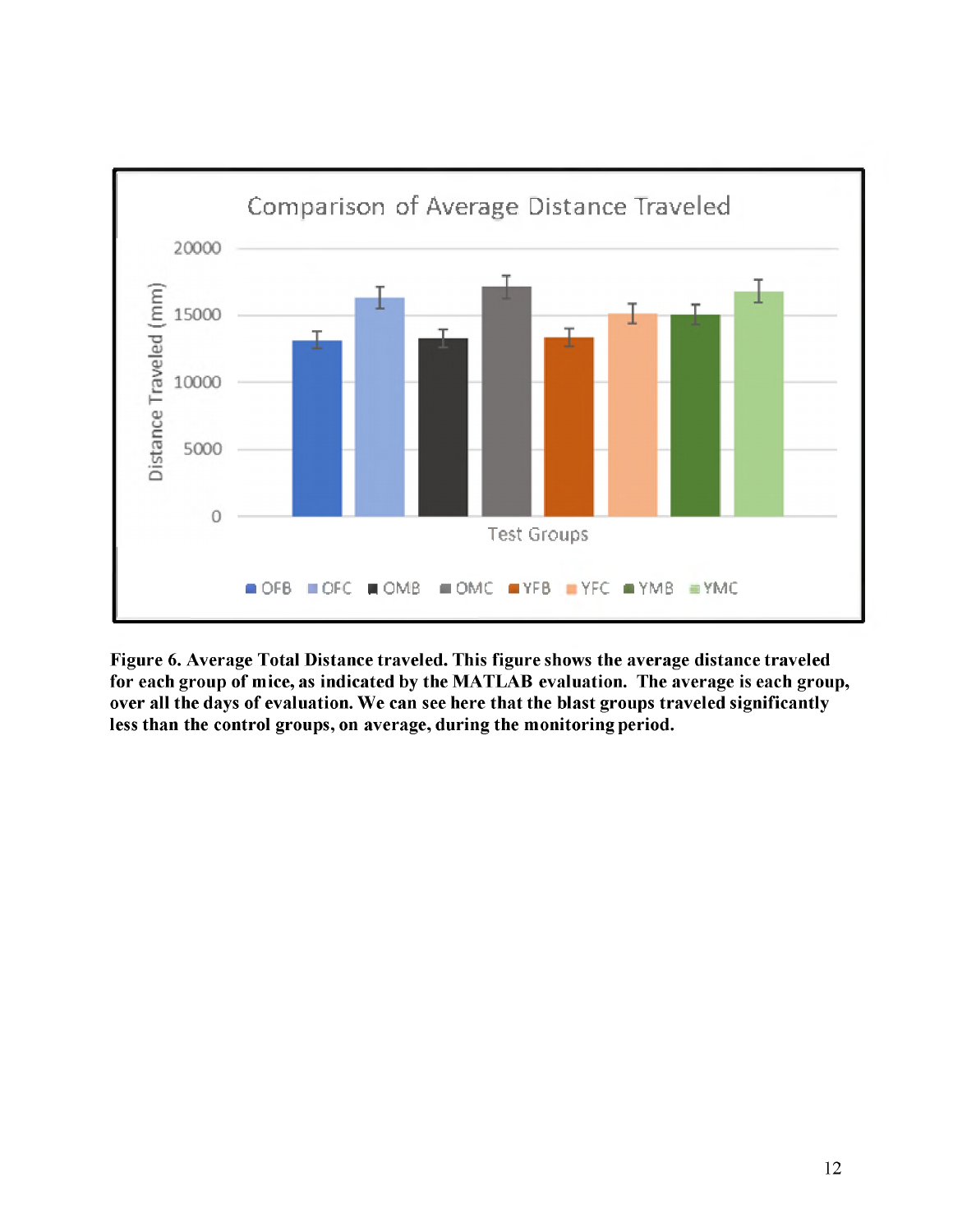

**Figure 6. Average Total Distance traveled. This figure shows the average distance traveled for each group of mice, as indicated by the MATLAB evaluation. The average is each group, over all the days of evaluation. We can see here that the blast groups traveled significantly less than the control groups, on average, during the monitoring period.**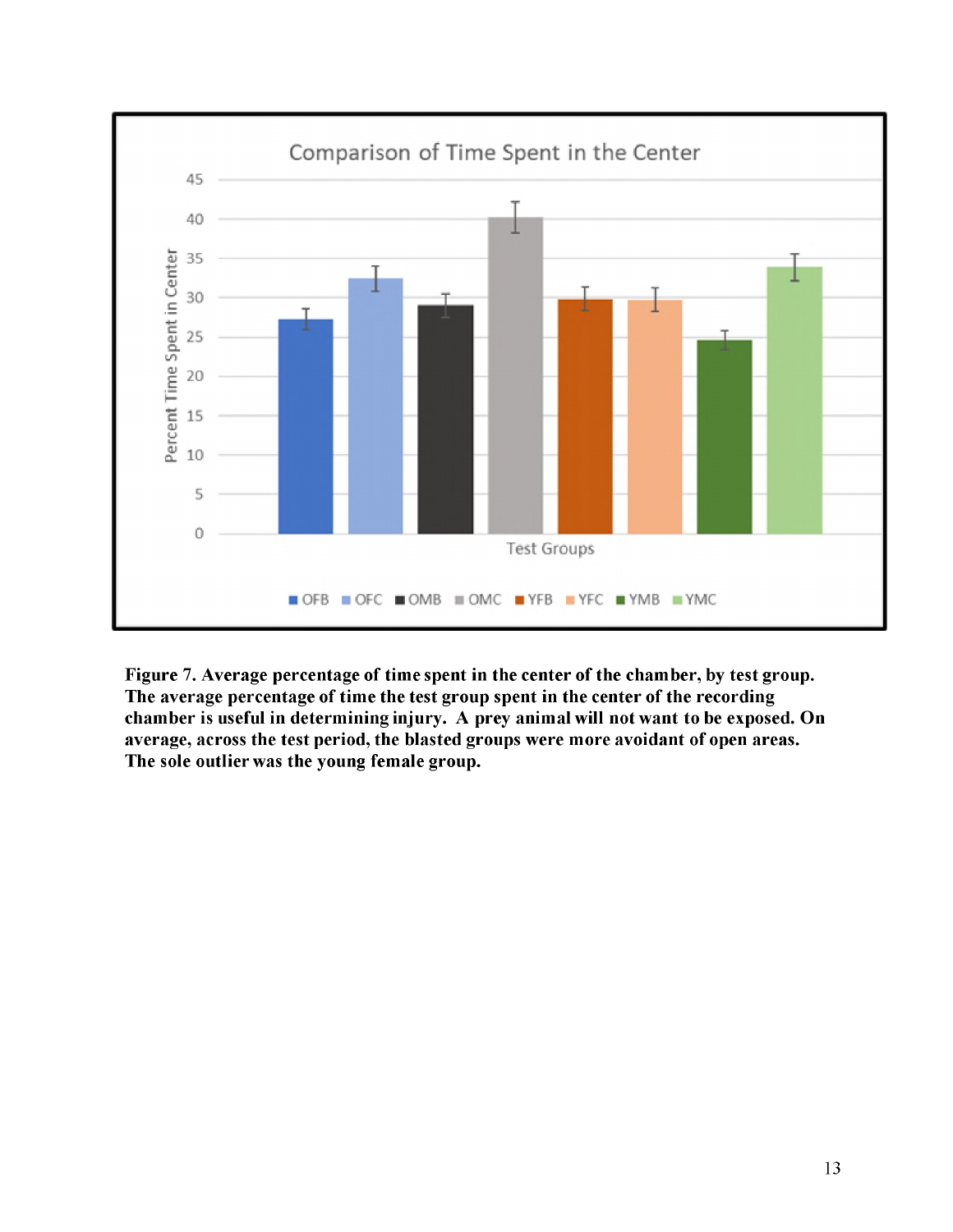

**Figure 7. Average percentage of time spent in the center of the chamber, by test group. The average percentage of time the test group spent in the center of the recording chamber is useful in determining injury. A prey animal will not want to be exposed. On average, across the test period, the blasted groups were more avoidant of open areas. The sole outlier was the young female group.**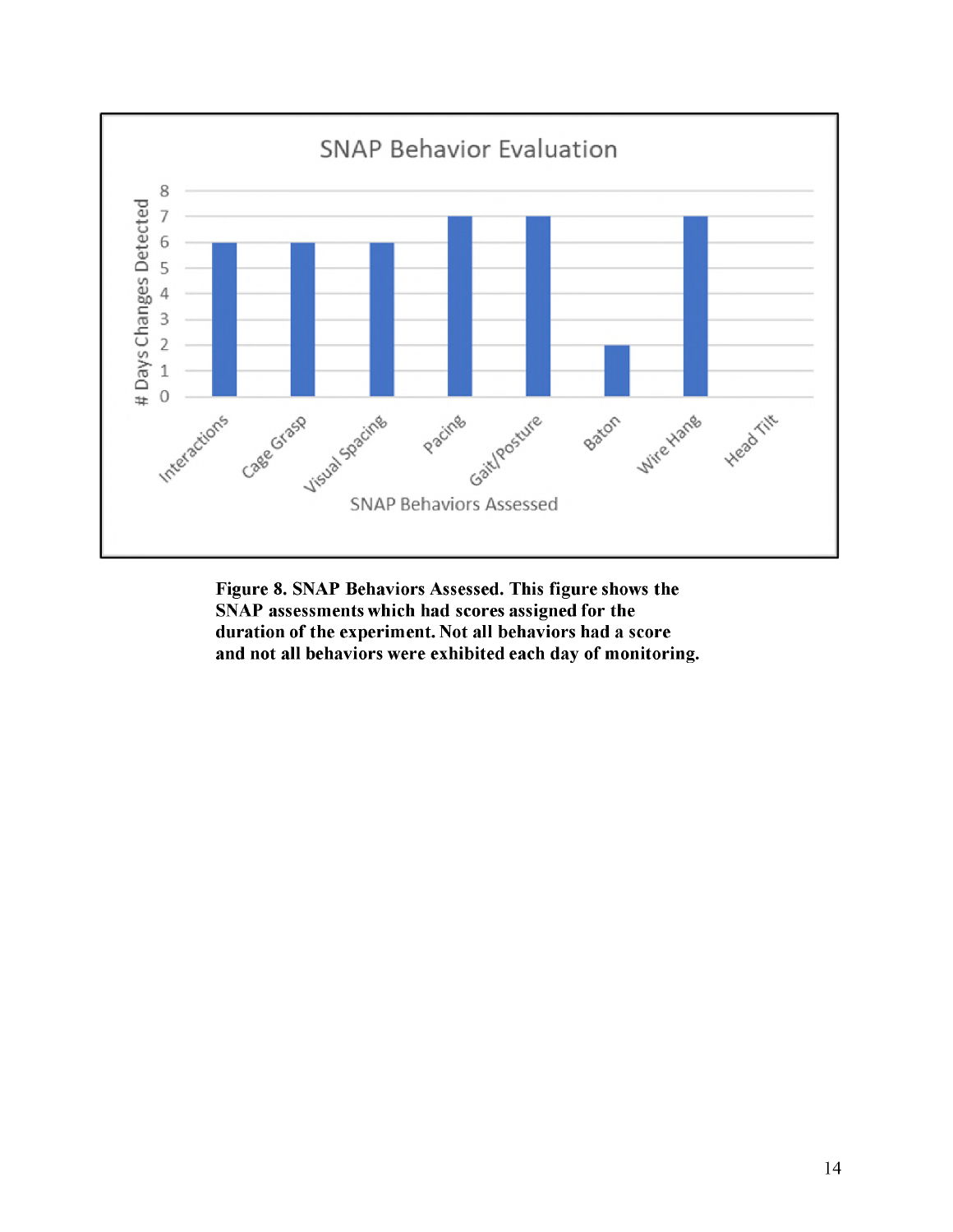

**Figure 8. SNAP Behaviors Assessed. This figure shows the SNAP assessments which had scores assigned for the duration of the experiment. Not all behaviors had a score and not all behaviors were exhibited each day of monitoring.**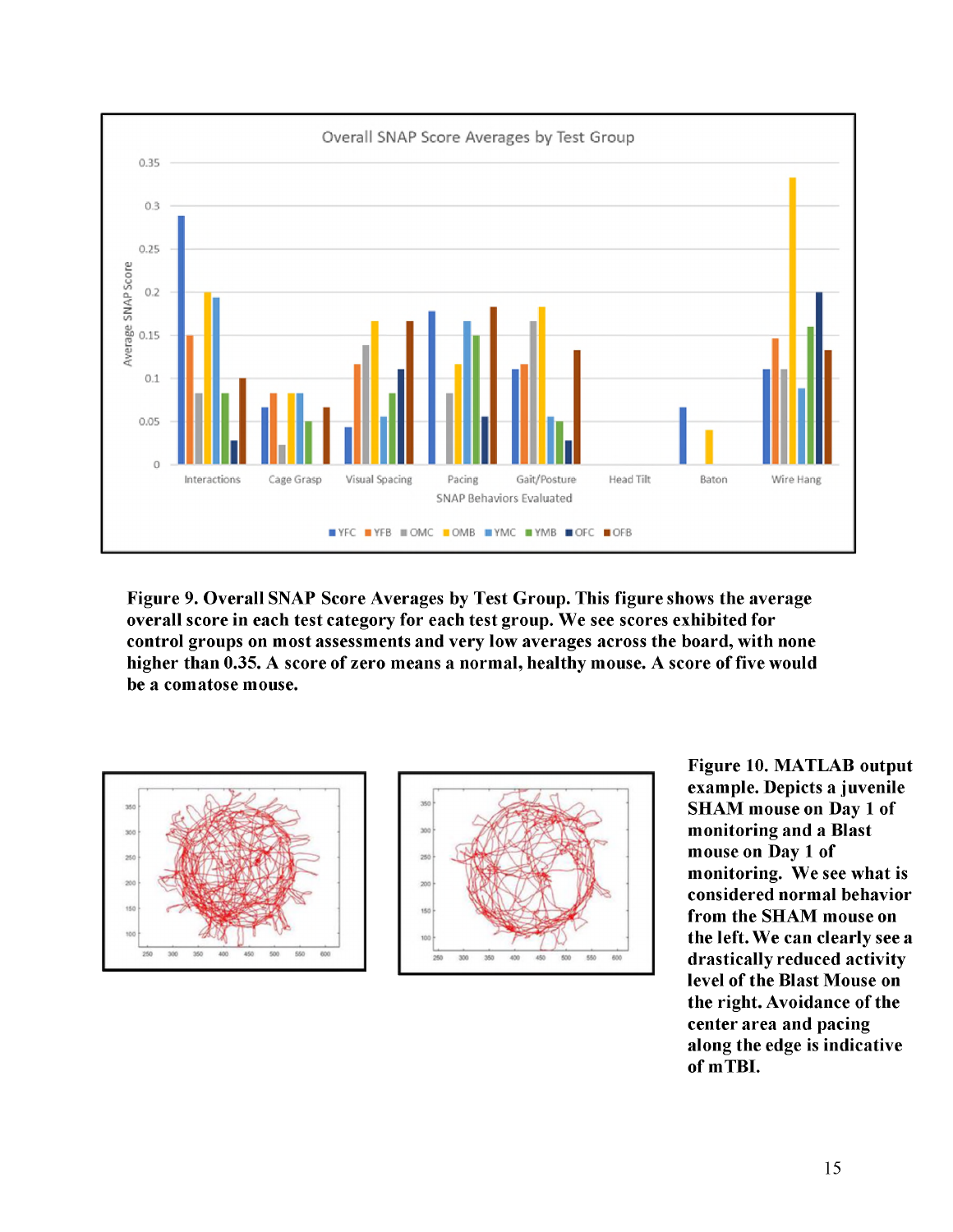

**Figure 9. Overall SNAP Score Averages by Test Group. This figure shows the average overall score in each test category for each test group. We see scores exhibited for control groups on most assessments and very low averages across the board, with none higher than 0.35. A score of zero means a normal, healthy mouse. A score of five would be a comatose mouse.**





**Figure 10. MATLAB output example. Depicts a juvenile SHAM mouse on Day 1 of monitoring and a Blast mouse on Day 1 of monitoring. We see what is considered normal behavior from the SHAM mouse on the left. We can clearly see a drastically reduced activity level of the Blast Mouse on the right. Avoidance of the center area and pacing along the edge is indicative of mTBI.**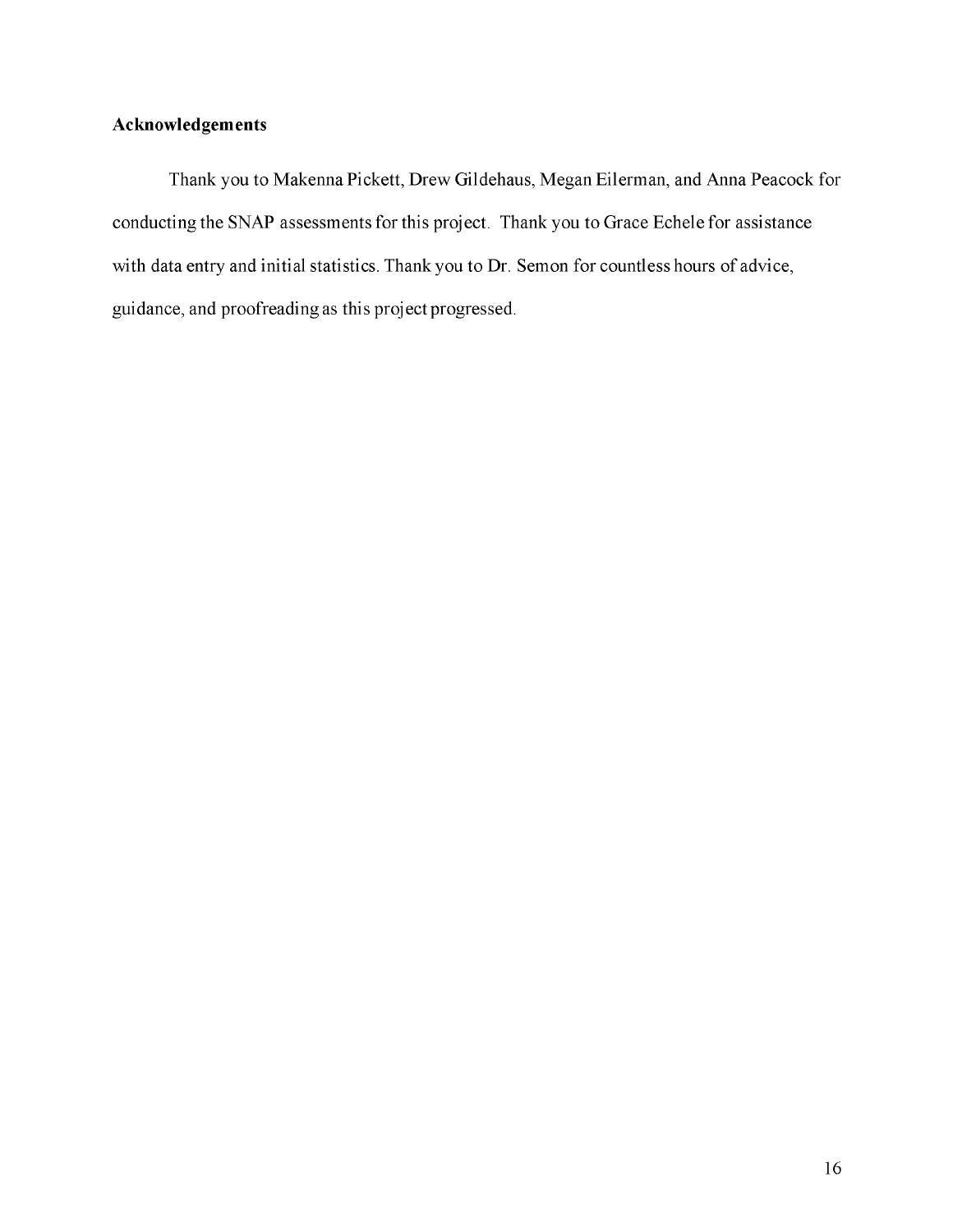## **Acknowledgements**

Thank you to Makenna Pickett, Drew Gildehaus, Megan Eilerman, and Anna Peacock for conducting the SNAP assessments for this project. Thank you to Grace Echele for assistance with data entry and initial statistics. Thank you to Dr. Semon for countless hours of advice, guidance, and proofreading as this project progressed.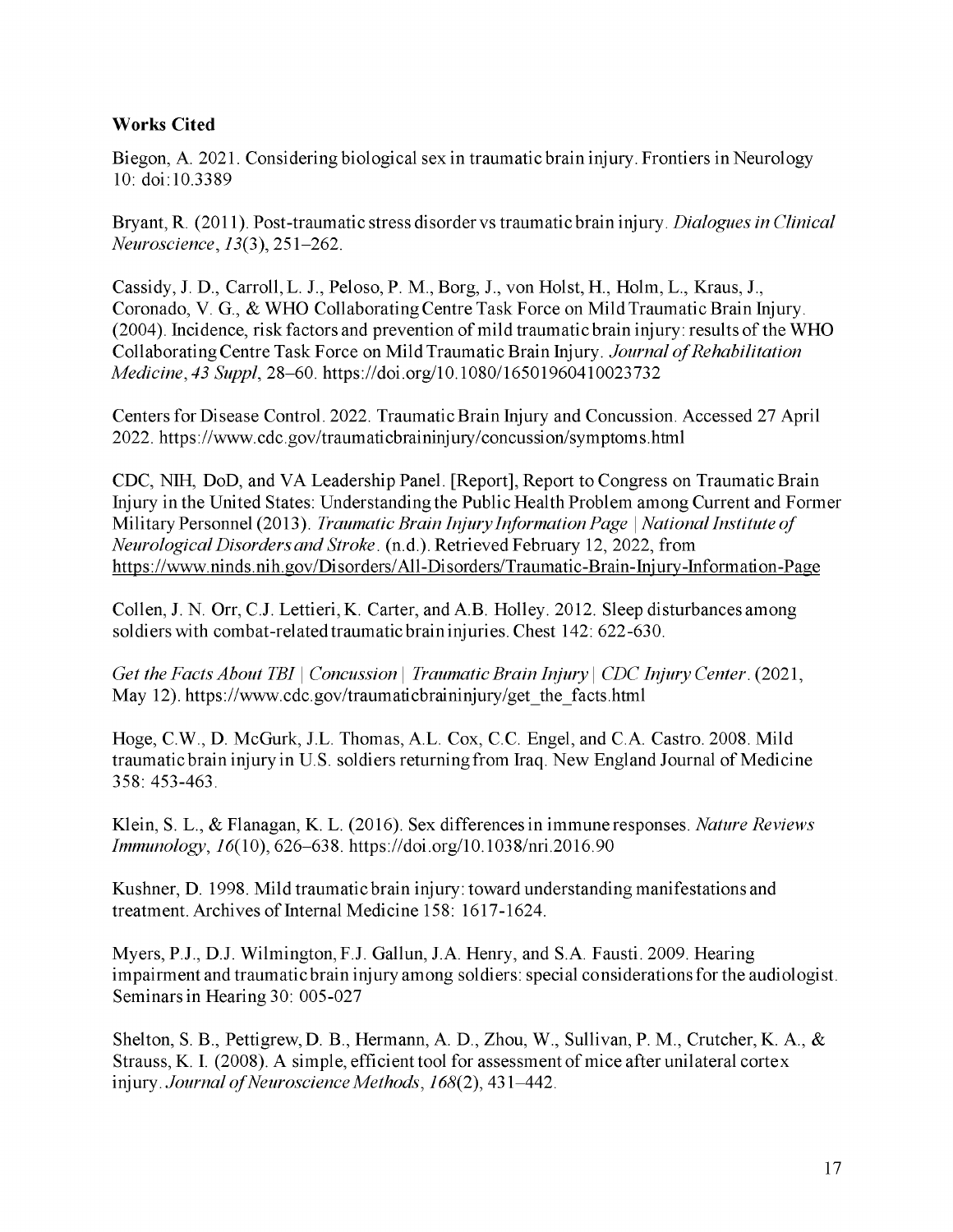### **Works Cited**

Biegon, A. 2021. Considering biological sex in traumatic brain injury. Frontiers in Neurology 10: doi:10.3389

Bryant, R. (2011). Post-traumatic stress disorder vs traumatic brain injury. *Dialogues in Clinical Neuroscience*, 13(3), 251-262.

Cassidy, J. D., Carroll, L. J., Peloso, P. M., Borg, J., von Holst, H., Holm, L., Kraus, J., Coronado, V. G., & WHO Collaborating Centre Task Force on Mild Traumatic Brain Injury. (2004). Incidence, risk factors and prevention of mild traumatic brain injury: results of the WHO Collaborating Centre Task Force on Mild Traumatic Brain Injury. *Journal of Rehabilitation Medicine, 43 Suppl,* 28-60. <https://doi.org/10.1080/16501960410023732>

Centers for Disease Control. 2022. Traumatic Brain Injury and Concussion. Accessed 27 April 2022[. https://www.cdc.gov/traumaticbraininjury/concussion/symptoms.html](https://www.cdc.gov/traumaticbraininjury/concussion/symptoms.html)

CDC, NIH, DoD, and VA Leadership Panel. [Report], Report to Congress on Traumatic Brain Injury in the United States: Understanding the Public Health Problem among Current and Former Military Personnel (2013). *Traumatic Brain Injury Information Page* | *National Institute of Neurological Disorders and Stroke.* (n.d.). Retrieved February 12, 2022, from [https://www.ninds.nih.gov/Disorders/All-Disorders/Traumatic-Brain-Iniury-Information-Page](https://www.ninds.nih.gov/Disorders/All-Disorders/Traumatic-Brain-Injury-Information-Page)

Collen, J. N. Orr, C.J. Lettieri, K. Carter, and A.B. Holley. 2012. Sleep disturbances among soldiers with combat-related traumatic brain injuries. Chest 142: 622-630.

*Get the Facts About TBI* | *Concussion* | *Traumatic Brain Injury* | *CDC Injury Center.* (2021, May 12). [https://www.cdc.gov/traumaticbraininjury/get\\_the\\_facts.html](https://www.cdc.gov/traumaticbraininjury/get_the_facts.html)

Hoge, C.W., D. McGurk, J.L. Thomas, A.L. Cox, C.C. Engel, and C.A. Castro. 2008. Mild traumatic brain injury in U.S. soldiers returning from Iraq. New England Journal of Medicine 358: 453-463.

Klein, S. L., & Flanagan, K. L. (2016). Sex differences in immune responses. *Nature Reviews Immunology,* 16(10), 626-638. <https://doi.org/10.1038/nri.2016.90>

Kushner, D. 1998. Mild traumatic brain injury: toward understanding manifestations and treatment. Archives of Internal Medicine 158: 1617-1624.

Myers, P.J., D.J. Wilmington, F.J. Gallun, J.A. Henry, and S.A. Fausti. 2009. Hearing impairment and traumatic brain injury among soldiers: special considerations for the audiologist. Seminars in Hearing 30: 005-027

Shelton, S. B., Pettigrew, D. B., Hermann, A. D., Zhou, W., Sullivan, P. M., Crutcher, K. A., & Strauss, K. I. (2008). A simple, efficient tool for assessment of mice after unilateral cortex injury. *Journal of Neuroscience Methods,* 168(2), 431-442.